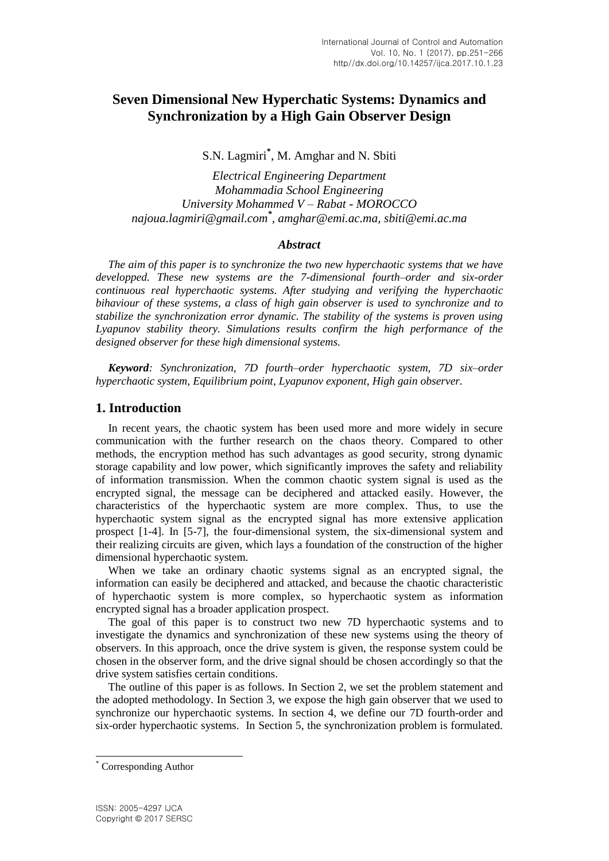# **Seven Dimensional New Hyperchatic Systems: Dynamics and Synchronization by a High Gain Observer Design**

S.N. Lagmiri**\*** , M. Amghar and N. Sbiti

*Electrical Engineering Department Mohammadia School Engineering University Mohammed V – Rabat - MOROCCO najoua.lagmiri@gmail.com\* , amghar@emi.ac.ma, [sbiti@emi.ac.ma](mailto:sbiti@emi.ac.ma)*

# *Abstract*

*The aim of this paper is to synchronize the two new hyperchaotic systems that we have developped. These new systems are the 7-dimensional fourth–order and six-order continuous real hyperchaotic systems. After studying and verifying the hyperchaotic bihaviour of these systems, a class of high gain observer is used to synchronize and to stabilize the synchronization error dynamic. The stability of the systems is proven using Lyapunov stability theory. Simulations results confirm the high performance of the designed observer for these high dimensional systems.*

*Keyword: Synchronization, 7D fourth–order hyperchaotic system, 7D six–order hyperchaotic system, Equilibrium point, Lyapunov exponent, High gain observer.*

# **1. Introduction**

In recent years, the chaotic system has been used more and more widely in secure communication with the further research on the chaos theory. Compared to other methods, the encryption method has such advantages as good security, strong dynamic storage capability and low power, which significantly improves the safety and reliability of information transmission. When the common chaotic system signal is used as the encrypted signal, the message can be deciphered and attacked easily. However, the characteristics of the hyperchaotic system are more complex. Thus, to use the hyperchaotic system signal as the encrypted signal has more extensive application prospect [1-4]. In [5-7], the four-dimensional system, the six-dimensional system and their realizing circuits are given, which lays a foundation of the construction of the higher dimensional hyperchaotic system.

When we take an ordinary chaotic systems signal as an encrypted signal, the information can easily be deciphered and attacked, and because the chaotic characteristic of hyperchaotic system is more complex, so hyperchaotic system as information encrypted signal has a broader application prospect.

The goal of this paper is to construct two new 7D hyperchaotic systems and to investigate the dynamics and synchronization of these new systems using the theory of observers. In this approach, once the drive system is given, the response system could be chosen in the observer form, and the drive signal should be chosen accordingly so that the drive system satisfies certain conditions.

The outline of this paper is as follows. In Section 2, we set the problem statement and the adopted methodology. In Section 3, we expose the high gain observer that we used to synchronize our hyperchaotic systems. In section 4, we define our 7D fourth-order and six-order hyperchaotic systems. In Section 5, the synchronization problem is formulated.

l

Corresponding Author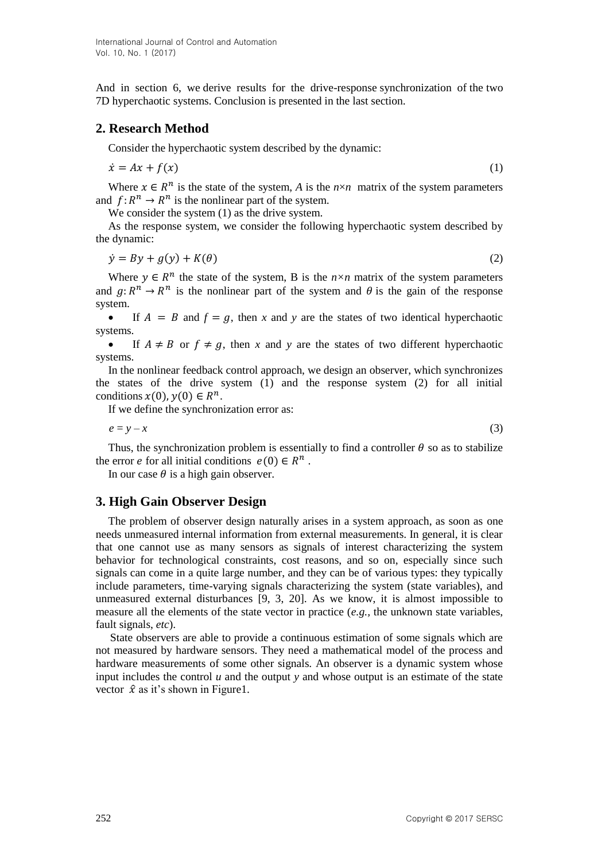And in section 6, we derive results for the drive-response synchronization of the two 7D hyperchaotic systems. Conclusion is presented in the last section.

# **2. Research Method**

Consider the hyperchaotic system described by the dynamic:

$$
\dot{x} = Ax + f(x) \tag{1}
$$

Where  $x \in \mathbb{R}^n$  is the state of the system, *A* is the  $n \times n$  matrix of the system parameters and  $f: R^n \to R^n$  is the nonlinear part of the system.

We consider the system  $(1)$  as the drive system.

As the response system, we consider the following hyperchaotic system described by the dynamic:

$$
\dot{y} = By + g(y) + K(\theta) \tag{2}
$$

Where  $y \in R^n$  the state of the system, B is the  $n \times n$  matrix of the system parameters and  $g: R^n \to R^n$  is the nonlinear part of the system and  $\theta$  is the gain of the response system.

If  $A = B$  and  $f = g$ , then *x* and *y* are the states of two identical hyperchaotic systems.

If  $A \neq B$  or  $f \neq g$ , then x and y are the states of two different hyperchaotic systems.

In the nonlinear feedback control approach, we design an observer, which synchronizes the states of the drive system (1) and the response system (2) for all initial conditions  $x(0), y(0) \in R^n$ .

If we define the synchronization error as:

 $e = y - x$  (3)

Thus, the synchronization problem is essentially to find a controller  $\theta$  so as to stabilize the error *e* for all initial conditions  $e(0) \in R^n$ .

In our case  $\theta$  is a high gain observer.

# **3. High Gain Observer Design**

The problem of observer design naturally arises in a system approach, as soon as one needs unmeasured internal information from external measurements. In general, it is clear that one cannot use as many sensors as signals of interest characterizing the system behavior for technological constraints, cost reasons, and so on, especially since such signals can come in a quite large number, and they can be of various types: they typically include parameters, time-varying signals characterizing the system (state variables), and unmeasured external disturbances [9, 3, 20]. As we know, it is almost impossible to measure all the elements of the state vector in practice (*e.g.,* the unknown state variables, fault signals, *etc*).

State observers are able to provide a continuous estimation of some signals which are not measured by hardware sensors. They need a mathematical model of the process and hardware measurements of some other signals. An observer is a dynamic system whose input includes the control *u* and the output *y* and whose output is an estimate of the state vector  $\hat{x}$  as it's shown in Figure 1.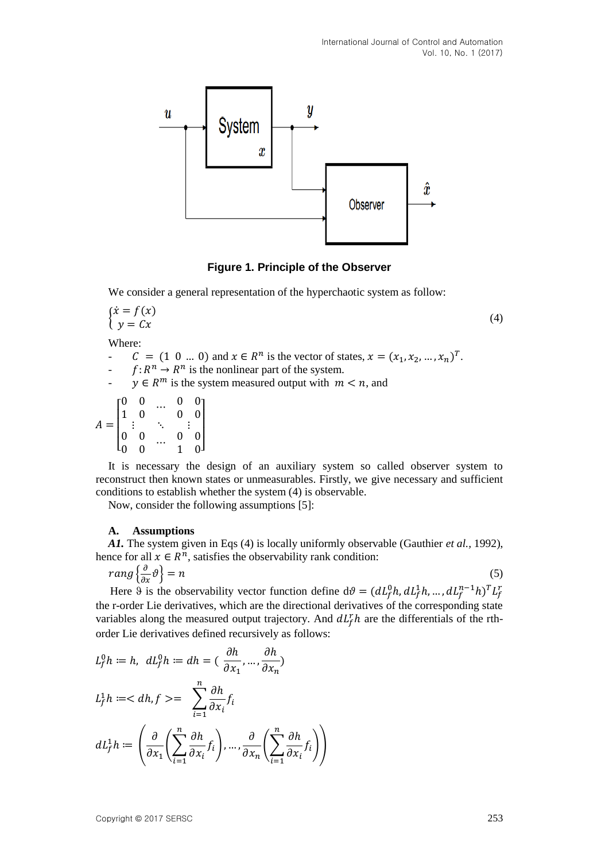

**Figure 1. Principle of the Observer**

We consider a general representation of the hyperchaotic system as follow:

$$
\begin{cases}\n\dot{x} = f(x) \\
y = Cx\n\end{cases} \tag{4}
$$

Where:

 $C = (1 \ 0 \ ... \ 0)$  and  $x \in R^n$  is the vector of states,  $x = (x_1, x_2, ..., x_n)^T$ .  $\vdots$   $f: R^n \to R^n$  is the nonlinear part of the system.

 $y \in R^m$  is the system measured output with  $m < n$ , and

|     | -0            | $\boldsymbol{0}$ | 0            | $\begin{bmatrix} 0 \\ 0 \end{bmatrix}$ |
|-----|---------------|------------------|--------------|----------------------------------------|
|     | 1             | $\overline{0}$   | 0            |                                        |
| $=$ |               |                  |              |                                        |
|     | $\frac{0}{2}$ | $\boldsymbol{0}$ | 0            | $\frac{0}{0}$                          |
|     |               | $\theta$         | $\mathbf{1}$ |                                        |

It is necessary the design of an auxiliary system so called observer system to reconstruct then known states or unmeasurables. Firstly, we give necessary and sufficient conditions to establish whether the system (4) is observable.

Now, consider the following assumptions [5]:

#### **A. Assumptions**

*A1.* The system given in Eqs (4) is locally uniformly observable (Gauthier *et al.,* 1992), hence for all  $x \in R^n$ , satisfies the observability rank condition:

 $\text{range}\left\{\frac{\partial}{\partial x}\vartheta\right\} = n$  (5)

Here 9 is the observability vector function define  $d\theta = (dL_f^0 h, dL_f^1 h, ..., dL_f^{n-1} h)^T L_f^n$ the r-order Lie derivatives, which are the directional derivatives of the corresponding state variables along the measured output trajectory. And  $dL_f^r h$  are the differentials of the rthorder Lie derivatives defined recursively as follows:

$$
L_f^0 h := h, \ dL_f^0 h := dh = \left(\frac{\partial h}{\partial x_1}, \dots, \frac{\partial h}{\partial x_n}\right)
$$
  

$$
L_f^1 h := < dh, f > = \sum_{i=1}^n \frac{\partial h}{\partial x_i} f_i
$$
  

$$
dL_f^1 h := \left(\frac{\partial}{\partial x_1} \left(\sum_{i=1}^n \frac{\partial h}{\partial x_i} f_i\right), \dots, \frac{\partial}{\partial x_n} \left(\sum_{i=1}^n \frac{\partial h}{\partial x_i} f_i\right)\right)
$$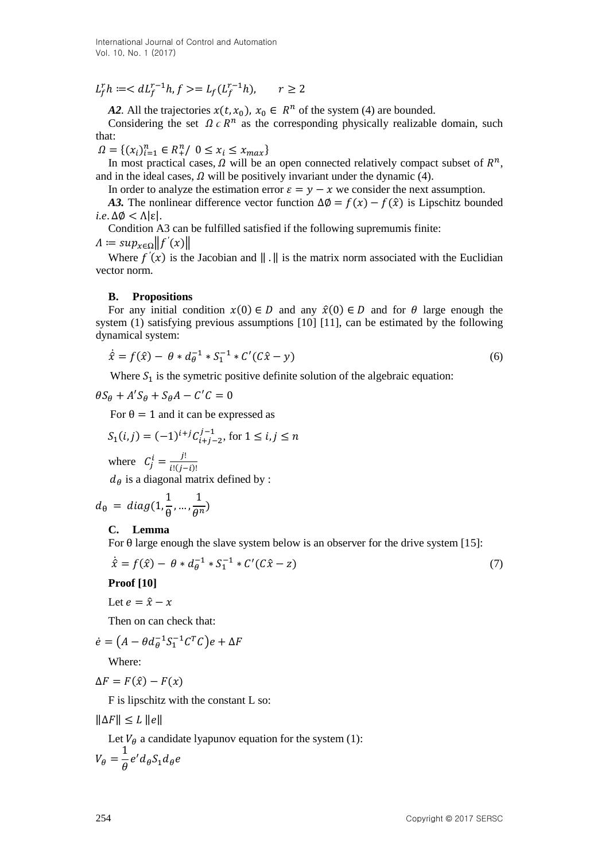#### $r \geq 2$  $L_f^r h := < d L_f^{r-1} h, f > = L_f (L_f^r)$

*A2.* All the trajectories  $x(t, x_0)$ ,  $x_0 \in R^n$  of the system (4) are bounded.

Considering the set  $\Omega c R^n$  as the corresponding physically realizable domain, such that:

 $\Omega = \{ (x_i)_{i=1}^n \in R_+^n / \ 0 \le x_i \le x_{max} \}$ 

In most practical cases,  $\Omega$  will be an open connected relatively compact subset of  $R^n$ , and in the ideal cases,  $\Omega$  will be positively invariant under the dynamic (4).

In order to analyze the estimation error  $\varepsilon = y - x$  we consider the next assumption.

*A3.* The nonlinear difference vector function  $\Delta \phi = f(x) - f(\hat{x})$  is Lipschitz bounded  $i.e. \Delta \emptyset < \Lambda |\varepsilon|.$ 

Condition A3 can be fulfilled satisfied if the following supremumis finite:

 $\Lambda \coloneqq \sup_{x \in \Omega} \|f'(x)\|$ 

Where  $f'(x)$  is the Jacobian and  $\|\cdot\|$  is the matrix norm associated with the Euclidian vector norm.

### **B. Propositions**

For any initial condition  $x(0) \in D$  and any  $\hat{x}(0) \in D$  and for  $\theta$  large enough the system (1) satisfying previous assumptions [10] [11], can be estimated by the following dynamical system:

$$
\dot{\hat{x}} = f(\hat{x}) - \theta * d_{\theta}^{-1} * S_1^{-1} * C'(C\hat{x} - y)
$$
\n(6)

Where  $S_1$  is the symetric positive definite solution of the algebraic equation:

$$
\theta S_{\theta} + A'S_{\theta} + S_{\theta}A - C'C = 0
$$

For  $\theta = 1$  and it can be expressed as

$$
S_1(i,j) = (-1)^{i+j} C_{i+j-2}^{j-1}, \text{ for } 1 \le i, j \le n
$$
  
where  $C_i^i = \frac{j!}{i!(i-j)!}$ 

i  $d_{\theta}$  is a diagonal matrix defined by :

$$
d_{\theta} = diag(1, \frac{1}{\theta}, \dots, \frac{1}{\theta^n})
$$

#### **C. Lemma**

For  $\theta$  large enough the slave system below is an observer for the drive system [15]:

$$
\dot{\hat{x}} = f(\hat{x}) - \theta * d_{\theta}^{-1} * S_1^{-1} * C'(C\hat{x} - z)
$$
\n(7)

**Proof [10]**

Let  $e = \hat{x} - x$ 

Then on can check that:

$$
\dot{e} = (A - \theta d_{\theta}^{-1} S_1^{-1} C^T C) e + \Delta F
$$

Where:

 $\Delta F = F(\hat{x}) - F(x)$ 

F is lipschitz with the constant L so:

 $\|\Delta F\| \leq L \|e\|$ 

Let  $V_{\theta}$  a candidate lyapunov equation for the system (1):

$$
V_{\theta} = \frac{1}{\theta} e' d_{\theta} S_1 d_{\theta} \epsilon
$$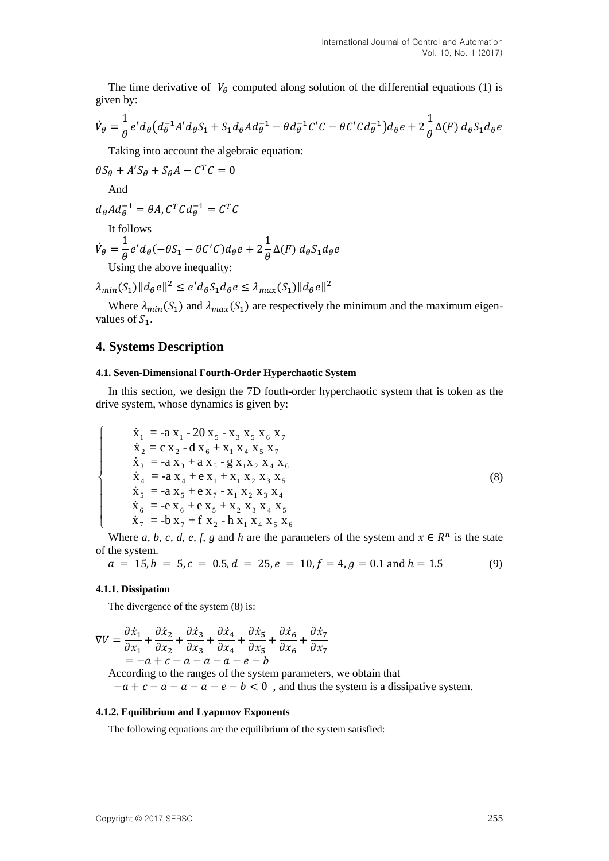The time derivative of  $V_{\theta}$  computed along solution of the differential equations (1) is given by:

$$
\dot{V}_{\theta} = \frac{1}{\theta} e' d_{\theta} \left( d_{\theta}^{-1} A' d_{\theta} S_1 + S_1 d_{\theta} A d_{\theta}^{-1} - \theta d_{\theta}^{-1} C' C - \theta C' C d_{\theta}^{-1} \right) d_{\theta} e + 2 \frac{1}{\theta} \Delta(F) d_{\theta} S_1 d_{\theta} e
$$

Taking into account the algebraic equation:

$$
\theta S_{\theta} + A'S_{\theta} + S_{\theta}A - C^{T}C = 0
$$

And

$$
d_{\theta}Ad_{\theta}^{-1} = \theta A, C^{T}Cd_{\theta}^{-1} = C^{T}C
$$

It follows

$$
\dot{V}_{\theta} = \frac{1}{\theta} e' d_{\theta}(-\theta S_1 - \theta C'C) d_{\theta}e + 2 \frac{1}{\theta} \Delta(F) d_{\theta} S_1 d_{\theta}e
$$
  
Using the above inequality:

 $\lambda_{min}(S_1) || d_{\theta} e ||^2 \le e' d_{\theta} S_1 d_{\theta} e \le \lambda_{max}(S_1) || d_{\theta} e ||^2$ 

Where  $\lambda_{min}(S_1)$  and  $\lambda_{max}(S_1)$  are respectively the minimum and the maximum eigenvalues of  $S_1$ .

# **4. Systems Description**

#### **4.1. Seven-Dimensional Fourth-Order Hyperchaotic System**

In this section, we design the 7D fouth-order hyperchaotic system that is token as the drive system, whose dynamics is given by:

$$
\begin{cases}\n\dot{x}_1 = -a x_1 - 20 x_5 - x_3 x_5 x_6 x_7 \\
\dot{x}_2 = c x_2 - d x_6 + x_1 x_4 x_5 x_7 \\
\dot{x}_3 = -a x_3 + a x_5 - g x_1 x_2 x_4 x_6 \\
\dot{x}_4 = -a x_4 + e x_1 + x_1 x_2 x_3 x_5 \\
\dot{x}_5 = -a x_5 + e x_7 - x_1 x_2 x_3 x_4 \\
\dot{x}_6 = -e x_6 + e x_5 + x_2 x_3 x_4 x_5 \\
\dot{x}_7 = -b x_7 + f x_2 - h x_1 x_4 x_5 x_6\n\end{cases}
$$
\n(8)

Where *a*, *b*, *c*, *d*, *e*, *f*, *g* and *h* are the parameters of the system and  $x \in R^n$  is the state of the system.

$$
a = 15, b = 5, c = 0.5, d = 25, e = 10, f = 4, g = 0.1 \text{ and } h = 1.5
$$
 (9)

### **4.1.1. Dissipation**

The divergence of the system (8) is:

$$
\nabla V = \frac{\partial \dot{x}_1}{\partial x_1} + \frac{\partial \dot{x}_2}{\partial x_2} + \frac{\partial \dot{x}_3}{\partial x_3} + \frac{\partial \dot{x}_4}{\partial x_4} + \frac{\partial \dot{x}_5}{\partial x_5} + \frac{\partial \dot{x}_6}{\partial x_6} + \frac{\partial \dot{x}_7}{\partial x_7}
$$
  
= -a + c - a - a - a - e - b

According to the ranges of the system parameters, we obtain that

 $-a + c - a - a - e - b < 0$ , and thus the system is a dissipative system.

#### **4.1.2. Equilibrium and Lyapunov Exponents**

The following equations are the equilibrium of the system satisfied: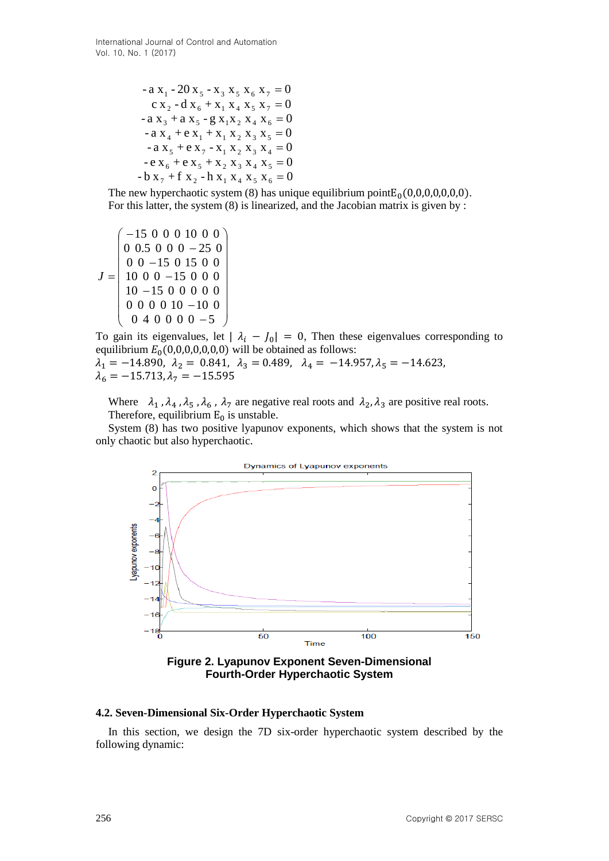- b x + f x - h x x x x 0 - e x + e x + x x x x 0 - a x + e x - x x x x 0 - a x + e x + x x x x 0 - a x + a x - g x x x x 0 c x - d x + x x x x 0 - a x - 20 x - x x x x 0 7 2 1 4 5 6 6 5 2 3 4 5 5 7 1 2 3 4 4 1 1 2 3 5 3 5 1 2 4 6 2 6 1 4 5 7 1 5 3 5 6 7 

The new hyperchaotic system (8) has unique equilibrium point  $E_0(0,0,0,0,0,0)$ . For this latter, the system (8) is linearized, and the Jacobian matrix is given by :

$$
J = \begin{pmatrix}\n-15 & 0 & 0 & 0 & 10 & 0 & 0 \\
0 & 0.5 & 0 & 0 & 0 & -25 & 0 \\
0 & 0 & -15 & 0 & 15 & 0 & 0 \\
10 & 0 & 0 & -15 & 0 & 0 & 0 \\
10 & -15 & 0 & 0 & 0 & 0 & 0 \\
0 & 0 & 0 & 10 & -10 & 0 & 0 \\
0 & 4 & 0 & 0 & 0 & 0 & -5\n\end{pmatrix}
$$

To gain its eigenvalues, let  $|\lambda_i - J_0| = 0$ , Then these eigenvalues corresponding to equilibrium  $E_0(0,0,0,0,0,0,0)$  will be obtained as follows:

 $\lambda_1 = -14.890, \lambda_2 = 0.841, \lambda_3 = 0.489, \lambda_4 = -14.957, \lambda_5 = -14.623,$  $\lambda_6 = -15.713$ ,  $\lambda_7 = -15.595$ 

Where  $\lambda_1$ ,  $\lambda_4$ ,  $\lambda_5$ ,  $\lambda_6$ ,  $\lambda_7$  are negative real roots and  $\lambda_2$ ,  $\lambda_3$  are positive real roots. Therefore, equilibrium  $E_0$  is unstable.

System (8) has two positive lyapunov exponents, which shows that the system is not only chaotic but also hyperchaotic.



**Figure 2. Lyapunov Exponent Seven-Dimensional Fourth-Order Hyperchaotic System**

#### **4.2. Seven-Dimensional Six-Order Hyperchaotic System**

In this section, we design the 7D six-order hyperchaotic system described by the following dynamic: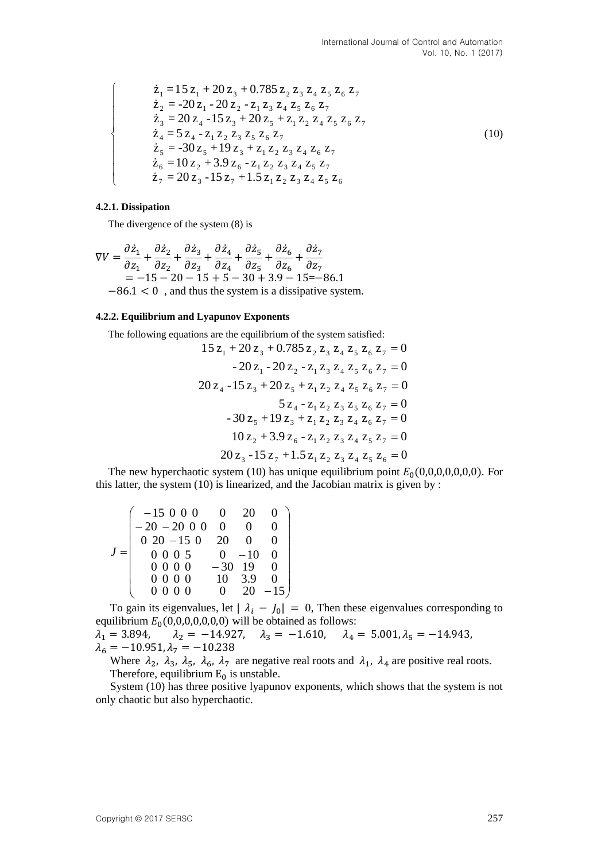$$
\begin{aligned}\n\dot{z}_1 &= 15 z_1 + 20 z_3 + 0.785 z_2 z_3 z_4 z_5 z_6 z_7 \\
\dot{z}_2 &= -20 z_1 - 20 z_2 - z_1 z_3 z_4 z_5 z_6 z_7 \\
\dot{z}_3 &= 20 z_4 - 15 z_3 + 20 z_5 + z_1 z_2 z_4 z_5 z_6 z_7 \\
\dot{z}_4 &= 5 z_4 - z_1 z_2 z_3 z_5 z_6 z_7 \\
\dot{z}_5 &= -30 z_5 + 19 z_3 + z_1 z_2 z_3 z_4 z_6 z_7 \\
\dot{z}_6 &= 10 z_2 + 3.9 z_6 - z_1 z_2 z_3 z_4 z_5 z_7 \\
\dot{z}_7 &= 20 z_3 - 15 z_7 + 1.5 z_1 z_2 z_3 z_4 z_5 z_6\n\end{aligned}\n\tag{10}
$$

#### **4.2.1. Dissipation**

The divergence of the system (8) is

$$
\nabla V = \frac{\partial \dot{z}_1}{\partial z_1} + \frac{\partial \dot{z}_2}{\partial z_2} + \frac{\partial \dot{z}_3}{\partial z_3} + \frac{\partial \dot{z}_4}{\partial z_4} + \frac{\partial \dot{z}_5}{\partial z_5} + \frac{\partial \dot{z}_6}{\partial z_6} + \frac{\partial \dot{z}_7}{\partial z_7}
$$
  
= -15 - 20 - 15 + 5 - 30 + 3.9 - 15 = -86.1  
-86.1 < 0 , and thus the system is a dissipative system.

#### **4.2.2. Equilibrium and Lyapunov Exponents**

The following equations are the equilibrium of the system satisfied:

$$
15 z1 + 20 z3 + 0.785 z2 z3 z4 z5 z6 z7 = 0
$$
  
\n
$$
-20 z1 - 20 z2 - z1 z3 z4 z5 z6 z7 = 0
$$
  
\n
$$
20 z4 - 15 z3 + 20 z5 + z1 z2 z4 z5 z6 z7 = 0
$$
  
\n
$$
5 z4 - z1 z2 z3 z5 z6 z7 = 0
$$
  
\n
$$
-30 z5 + 19 z3 + z1 z2 z3 z4 z6 z7 = 0
$$
  
\n
$$
10 z2 + 3.9 z6 - z1 z2 z3 z4 z5 z7 = 0
$$
  
\n
$$
20 z3 - 15 z7 + 1.5 z1 z2 z3 z4 z5 z6 = 0
$$

The new hyperchaotic system (10) has unique equilibrium point  $E_0(0,0,0,0,0,0,0)$ . For this latter, the system (10) is linearized, and the Jacobian matrix is given by :

$$
J = \begin{pmatrix}\n-15 & 0 & 0 & 0 & 0 & 20 & 0 \\
-20 & -20 & 0 & 0 & 0 & 0 & 0 \\
0 & 20 & -15 & 0 & 20 & 0 & 0 \\
0 & 0 & 0 & 5 & 0 & -10 & 0 \\
0 & 0 & 0 & 0 & -30 & 19 & 0 \\
0 & 0 & 0 & 0 & 10 & 3.9 & 0 \\
0 & 0 & 0 & 0 & 0 & 20 & -15\n\end{pmatrix}
$$

To gain its eigenvalues, let  $| \lambda_i - J_0 | = 0$ , Then these eigenvalues corresponding to equilibrium  $E_0(0,0,0,0,0,0)$  will be obtained as follows:  $\lambda$  $\lambda_6 = -10.951, \lambda_7 = -10.238$ 

Where  $\lambda_2$ ,  $\lambda_3$ ,  $\lambda_5$ ,  $\lambda_6$ ,  $\lambda_7$  are negative real roots and  $\lambda_1$ ,  $\lambda_4$  are positive real roots. Therefore, equilibrium  $E_0$  is unstable.

System (10) has three positive lyapunov exponents, which shows that the system is not only chaotic but also hyperchaotic.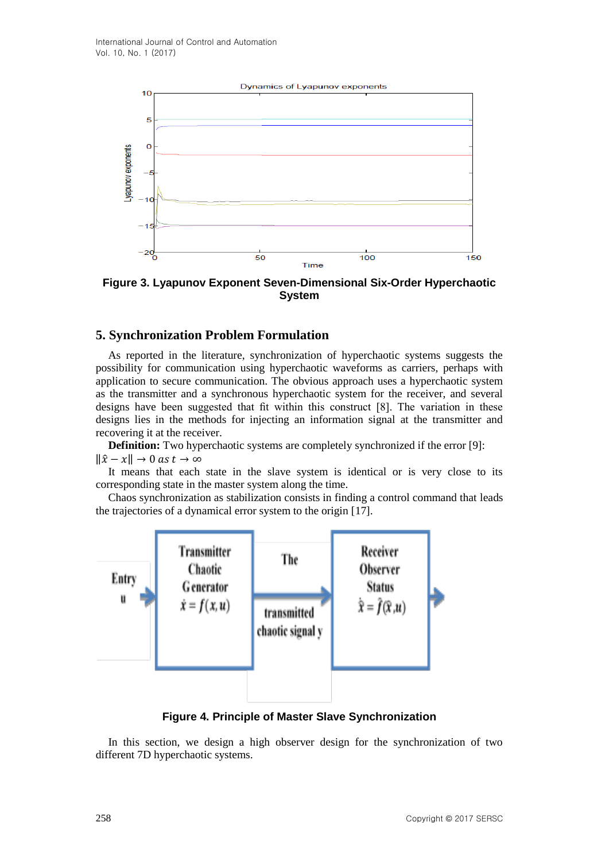

**Figure 3. Lyapunov Exponent Seven-Dimensional Six-Order Hyperchaotic System**

# **5. Synchronization Problem Formulation**

As reported in the literature, synchronization of hyperchaotic systems suggests the possibility for communication using hyperchaotic waveforms as carriers, perhaps with application to secure communication. The obvious approach uses a hyperchaotic system as the transmitter and a synchronous hyperchaotic system for the receiver, and several designs have been suggested that fit within this construct [8]. The variation in these designs lies in the methods for injecting an information signal at the transmitter and recovering it at the receiver.

**Definition:** Two hyperchaotic systems are completely synchronized if the error [9]:  $\|\hat{x} - x\| \to 0$  as  $t \to \infty$ 

It means that each state in the slave system is identical or is very close to its corresponding state in the master system along the time.

Chaos synchronization as stabilization consists in finding a control command that leads the trajectories of a dynamical error system to the origin [17].



# **Figure 4. Principle of Master Slave Synchronization**

In this section, we design a high observer design for the synchronization of two different 7D hyperchaotic systems.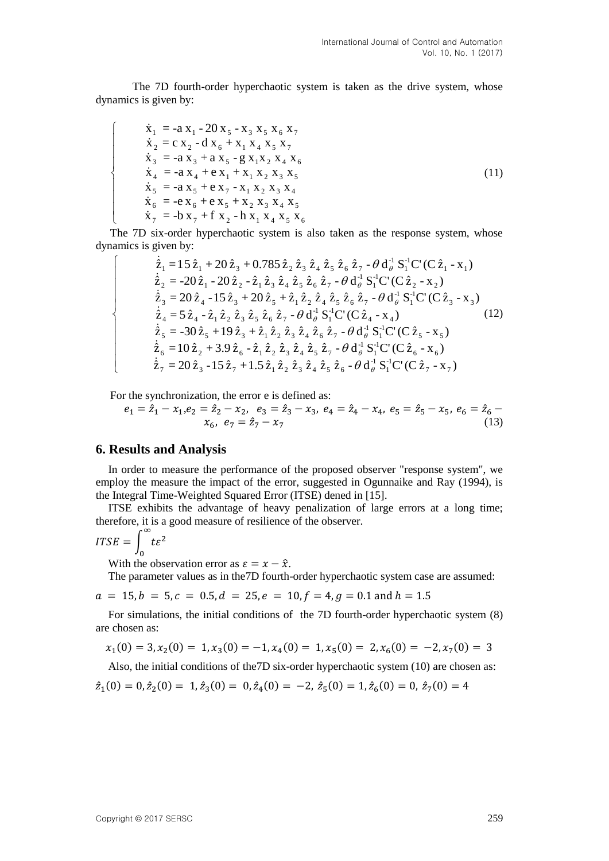The 7D fourth-order hyperchaotic system is taken as the drive system, whose dynamics is given by:

$$
\dot{x}_1 = -a x_1 - 20 x_5 - x_3 x_5 x_6 x_7 \n\dot{x}_2 = c x_2 - d x_6 + x_1 x_4 x_5 x_7 \n\dot{x}_3 = -a x_3 + a x_5 - g x_1 x_2 x_4 x_6 \n\dot{x}_4 = -a x_4 + e x_1 + x_1 x_2 x_3 x_5 \n\dot{x}_5 = -a x_5 + e x_7 - x_1 x_2 x_3 x_4 \n\dot{x}_6 = -e x_6 + e x_5 + x_2 x_3 x_4 x_5 \n\dot{x}_7 = -b x_7 + f x_2 - h x_1 x_4 x_5 x_6
$$
\n(11)

The 7D six-order hyperchaotic system is also taken as the response system, whose dynamics is given by:

$$
\dot{\hat{z}}_1 = 15 \hat{z}_1 + 20 \hat{z}_3 + 0.785 \hat{z}_2 \hat{z}_3 \hat{z}_4 \hat{z}_5 \hat{z}_6 \hat{z}_7 - \theta d_\theta^1 S_1^1 C' (C \hat{z}_1 - x_1) \n\dot{\hat{z}}_2 = -20 \hat{z}_1 - 20 \hat{z}_2 - \hat{z}_1 \hat{z}_3 \hat{z}_4 \hat{z}_5 \hat{z}_6 \hat{z}_7 - \theta d_\theta^1 S_1^1 C' (C \hat{z}_2 - x_2) \n\dot{\hat{z}}_3 = 20 \hat{z}_4 - 15 \hat{z}_3 + 20 \hat{z}_5 + \hat{z}_1 \hat{z}_2 \hat{z}_4 \hat{z}_5 \hat{z}_6 \hat{z}_7 - \theta d_\theta^1 S_1^1 C' (C \hat{z}_3 - x_3) \n\dot{\hat{z}}_4 = 5 \hat{z}_4 - \hat{z}_1 \hat{z}_2 \hat{z}_3 \hat{z}_5 \hat{z}_6 \hat{z}_7 - \theta d_\theta^1 S_1^1 C' (C \hat{z}_4 - x_4) \n\dot{\hat{z}}_5 = -30 \hat{z}_5 + 19 \hat{z}_3 + \hat{z}_1 \hat{z}_2 \hat{z}_3 \hat{z}_4 \hat{z}_6 \hat{z}_7 - \theta d_\theta^1 S_1^1 C' (C \hat{z}_5 - x_5) \n\dot{\hat{z}}_6 = 10 \hat{z}_2 + 3.9 \hat{z}_6 - \hat{z}_1 \hat{z}_2 \hat{z}_3 \hat{z}_4 \hat{z}_5 \hat{z}_7 - \theta d_\theta^1 S_1^1 C' (C \hat{z}_6 - x_6) \n\dot{\hat{z}}_7 = 20 \hat{z}_3 - 15 \hat{z}_7 + 1.5 \hat{z}_1 \hat{z}_2 \hat{z}_3 \hat{z}_4 \hat{z}_5 \hat{z}_6 - \theta d_\theta^1 S_1^1 C' (C \hat{z}_7 - x_7)
$$

For the synchronization, the error e is defined as:

$$
e_1 = \hat{z}_1 - x_1, e_2 = \hat{z}_2 - x_2, e_3 = \hat{z}_3 - x_3, e_4 = \hat{z}_4 - x_4, e_5 = \hat{z}_5 - x_5, e_6 = \hat{z}_6 - x_6, e_7 = \hat{z}_7 - x_7
$$
\n(13)

#### **6. Results and Analysis**

In order to measure the performance of the proposed observer "response system", we employ the measure the impact of the error, suggested in Ogunnaike and Ray (1994), is the Integral Time-Weighted Squared Error (ITSE) dened in [15].

ITSE exhibits the advantage of heavy penalization of large errors at a long time; therefore, it is a good measure of resilience of the observer.

$$
ITSE = \int_0^\infty t \varepsilon^2
$$

 $\overline{ }$  $\overline{\phantom{a}}$  $\overline{\phantom{a}}$ 

 $\vert$  $\overline{\phantom{a}}$  $\overline{\phantom{a}}$ 

 $\frac{1}{2}$ 

 $\left\{ \right.$ 

 $\overline{\mathcal{L}}$ 

 $\overline{\phantom{a}}$  $\overline{\phantom{a}}$  $\overline{\phantom{a}}$  $\overline{\phantom{a}}$ 

 $\bigg\}$  $\overline{\phantom{a}}$  $\overline{\phantom{a}}$  $\overline{\phantom{a}}$ 

 $\begin{array}{c} \begin{array}{c} \end{array} \end{array}$ 

 $\left\{ \right.$ 

 $\overline{\mathfrak{l}}$ 

With the observation error as  $\varepsilon = x - \hat{x}$ .

The parameter values as in the7D fourth-order hyperchaotic system case are assumed:

 $a = 15$ ,  $b = 5$ ,  $c = 0.5$ ,  $d = 25$ ,  $e = 10$ ,  $f = 4$ ,  $g = 0.1$  and  $h = 1.5$ 

For simulations, the initial conditions of the 7D fourth-order hyperchaotic system (8) are chosen as:

$$
x_1(0) = 3, x_2(0) = 1, x_3(0) = -1, x_4(0) = 1, x_5(0) = 2, x_6(0) = -2, x_7(0) = 3
$$

Also, the initial conditions of the7D six-order hyperchaotic system (10) are chosen as:

$$
\hat{z}_1(0) = 0, \hat{z}_2(0) = 1, \hat{z}_3(0) = 0, \hat{z}_4(0) = -2, \ \hat{z}_5(0) = 1, \hat{z}_6(0) = 0, \ \hat{z}_7(0) = 4
$$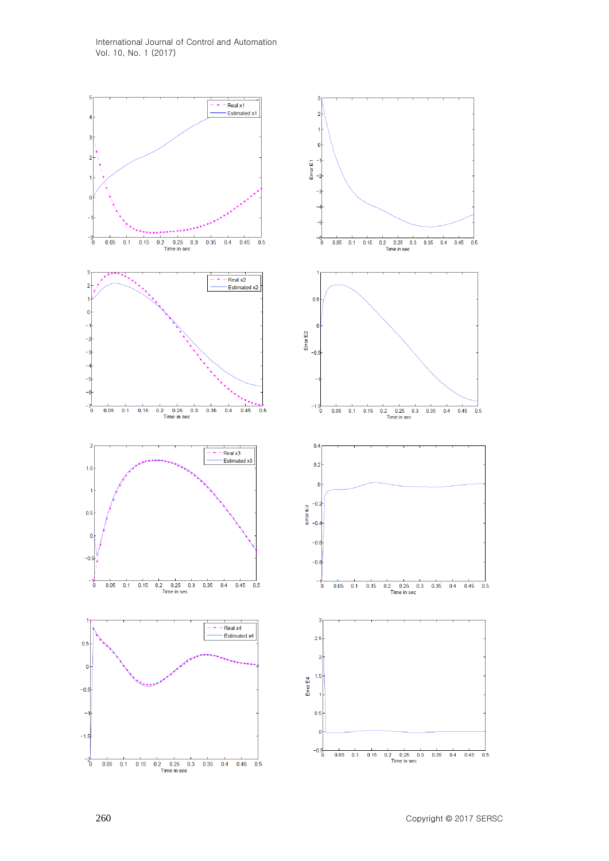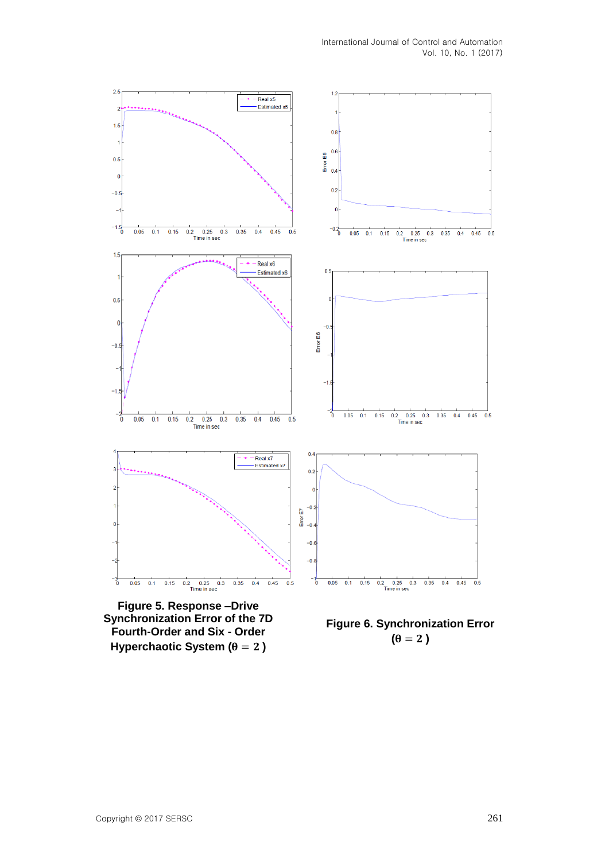International Journal of Control and Automation Vol. 10, No. 1 (2017)



**Figure 5. Response –Drive Synchronization Error of the 7D Fourth-Order and Six - Order Hyperchaotic System (** $\theta = 2$ **)** 

**Figure 6. Synchronization Error**   $(\theta = 2)$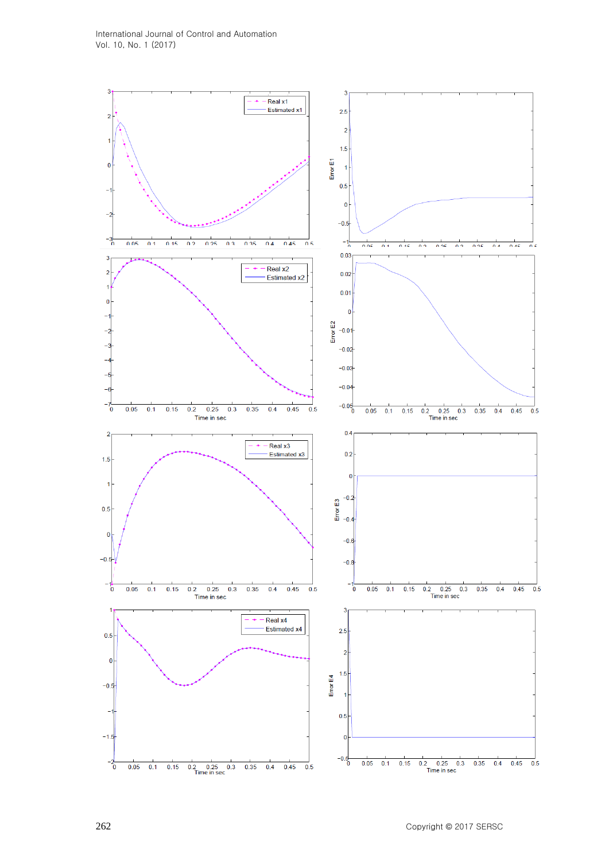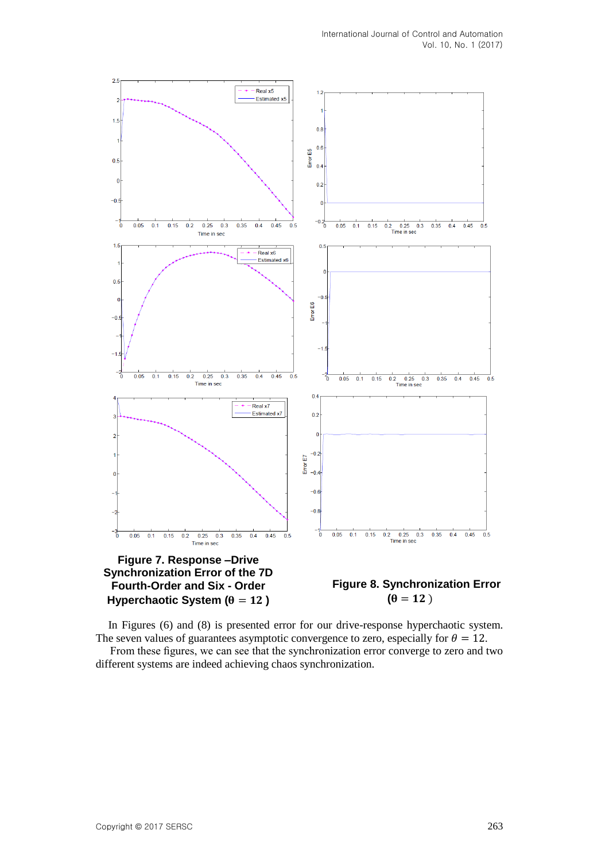![](_page_12_Figure_1.jpeg)

In Figures (6) and (8) is presented error for our drive-response hyperchaotic system. The seven values of guarantees asymptotic convergence to zero, especially for  $\theta = 12$ .

From these figures, we can see that the synchronization error converge to zero and two different systems are indeed achieving chaos synchronization.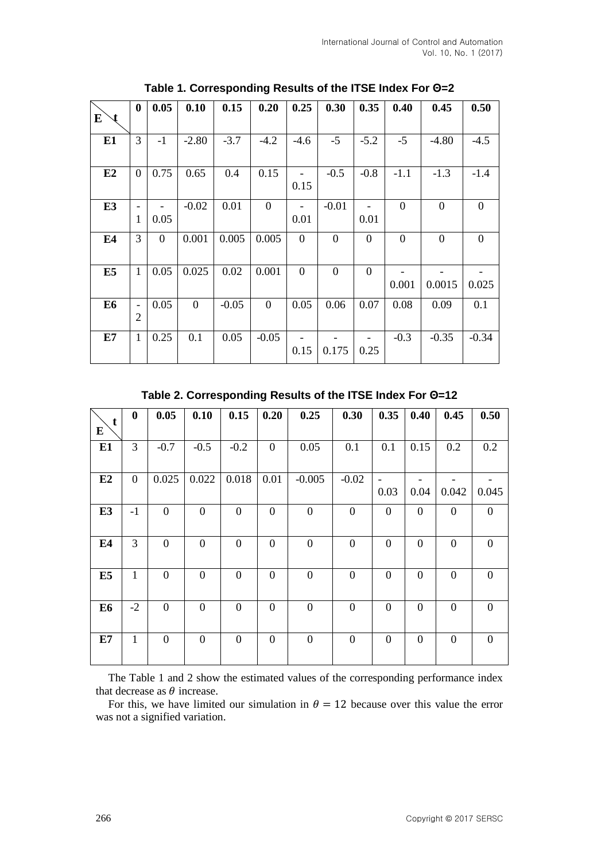|                | $\bf{0}$                 | 0.05             | 0.10           | 0.15    | 0.20           | 0.25                     | 0.30           | 0.35                     | 0.40             | 0.45         | 0.50         |
|----------------|--------------------------|------------------|----------------|---------|----------------|--------------------------|----------------|--------------------------|------------------|--------------|--------------|
| E              |                          |                  |                |         |                |                          |                |                          |                  |              |              |
| E1             | 3                        | $-1$             | $-2.80$        | $-3.7$  | $-4.2$         | $-4.6$                   | $-5$           | $-5.2$                   | $-5$             | $-4.80$      | $-4.5$       |
|                |                          |                  |                |         |                |                          |                |                          |                  |              |              |
| E2             | $\theta$                 | 0.75             | 0.65           | 0.4     | 0.15           |                          | $-0.5$         | $-0.8$                   | $-1.1$           | $-1.3$       | $-1.4$       |
|                |                          |                  |                |         |                | 0.15                     |                |                          |                  |              |              |
| E3             | -                        |                  | $-0.02$        | 0.01    | $\theta$       | $\overline{\phantom{a}}$ | $-0.01$        | $\overline{\phantom{0}}$ | $\theta$         | $\Omega$     | $\mathbf{0}$ |
|                | 1                        | 0.05             |                |         |                | 0.01                     |                | 0.01                     |                  |              |              |
| E4             | 3                        | $\boldsymbol{0}$ | 0.001          | 0.005   | 0.005          | $\mathbf{0}$             | $\overline{0}$ | $\boldsymbol{0}$         | $\boldsymbol{0}$ | $\mathbf{0}$ | $\mathbf{0}$ |
|                |                          |                  |                |         |                |                          |                |                          |                  |              |              |
| E <sub>5</sub> | $\mathbf{1}$             | 0.05             | 0.025          | 0.02    | 0.001          | $\overline{0}$           | $\overline{0}$ | $\overline{0}$           |                  |              |              |
|                |                          |                  |                |         |                |                          |                |                          | 0.001            | 0.0015       | 0.025        |
| E <sub>6</sub> | $\overline{\phantom{a}}$ | 0.05             | $\overline{0}$ | $-0.05$ | $\overline{0}$ | 0.05                     | 0.06           | 0.07                     | 0.08             | 0.09         | 0.1          |
|                | $\overline{2}$           |                  |                |         |                |                          |                |                          |                  |              |              |
| E7             | $\mathbf{1}$             | 0.25             | 0.1            | 0.05    | $-0.05$        |                          |                |                          | $-0.3$           | $-0.35$      | $-0.34$      |
|                |                          |                  |                |         |                | 0.15                     | 0.175          | 0.25                     |                  |              |              |

**Table 1. Corresponding Results of the ITSE Index For Θ=2**

**Table 2. Corresponding Results of the ITSE Index For Θ=12**

| t              | $\bf{0}$         | 0.05             | 0.10             | 0.15         | 0.20             | 0.25             | 0.30     | 0.35                     | 0.40             | 0.45           | 0.50             |
|----------------|------------------|------------------|------------------|--------------|------------------|------------------|----------|--------------------------|------------------|----------------|------------------|
| E              |                  |                  |                  |              |                  |                  |          |                          |                  |                |                  |
| E1             | 3                | $-0.7$           | $-0.5$           | $-0.2$       | $\boldsymbol{0}$ | 0.05             | 0.1      | 0.1                      | 0.15             | 0.2            | 0.2              |
|                |                  |                  |                  |              |                  |                  |          |                          |                  |                |                  |
| E2             | $\boldsymbol{0}$ | 0.025            | 0.022            | 0.018        | 0.01             | $-0.005$         | $-0.02$  | $\overline{\phantom{a}}$ |                  |                |                  |
|                |                  |                  |                  |              |                  |                  |          | 0.03                     | 0.04             | 0.042          | 0.045            |
| E <sub>3</sub> | $-1$             | $\theta$         | $\mathbf{0}$     | $\theta$     | $\theta$         | $\overline{0}$   | $\theta$ | $\overline{0}$           | $\overline{0}$   | $\overline{0}$ | $\boldsymbol{0}$ |
|                |                  |                  |                  |              |                  |                  |          |                          |                  |                |                  |
| E4             | 3                | $\boldsymbol{0}$ | $\mathbf{0}$     | $\mathbf{0}$ | $\boldsymbol{0}$ | $\theta$         | $\theta$ | $\mathbf{0}$             | $\overline{0}$   | $\Omega$       | $\mathbf{0}$     |
|                |                  |                  |                  |              |                  |                  |          |                          |                  |                |                  |
| E <sub>5</sub> | 1                | $\theta$         | $\overline{0}$   | $\Omega$     | $\theta$         | $\theta$         | $\Omega$ | $\overline{0}$           | $\theta$         | $\Omega$       | $\mathbf{0}$     |
|                |                  |                  |                  |              |                  |                  |          |                          |                  |                |                  |
| E <sub>6</sub> | $-2$             | $\boldsymbol{0}$ | $\boldsymbol{0}$ | $\theta$     | $\boldsymbol{0}$ | $\boldsymbol{0}$ | $\theta$ | $\overline{0}$           | $\boldsymbol{0}$ | $\Omega$       | $\mathbf{0}$     |
|                |                  |                  |                  |              |                  |                  |          |                          |                  |                |                  |
| E7             | 1                | $\boldsymbol{0}$ | $\boldsymbol{0}$ | $\mathbf{0}$ | $\boldsymbol{0}$ | $\boldsymbol{0}$ | $\Omega$ | $\mathbf{0}$             | $\overline{0}$   | $\overline{0}$ | $\mathbf{0}$     |
|                |                  |                  |                  |              |                  |                  |          |                          |                  |                |                  |

The Table 1 and 2 show the estimated values of the corresponding performance index that decrease as  $\theta$  increase.

For this, we have limited our simulation in  $\theta = 12$  because over this value the error was not a signified variation.